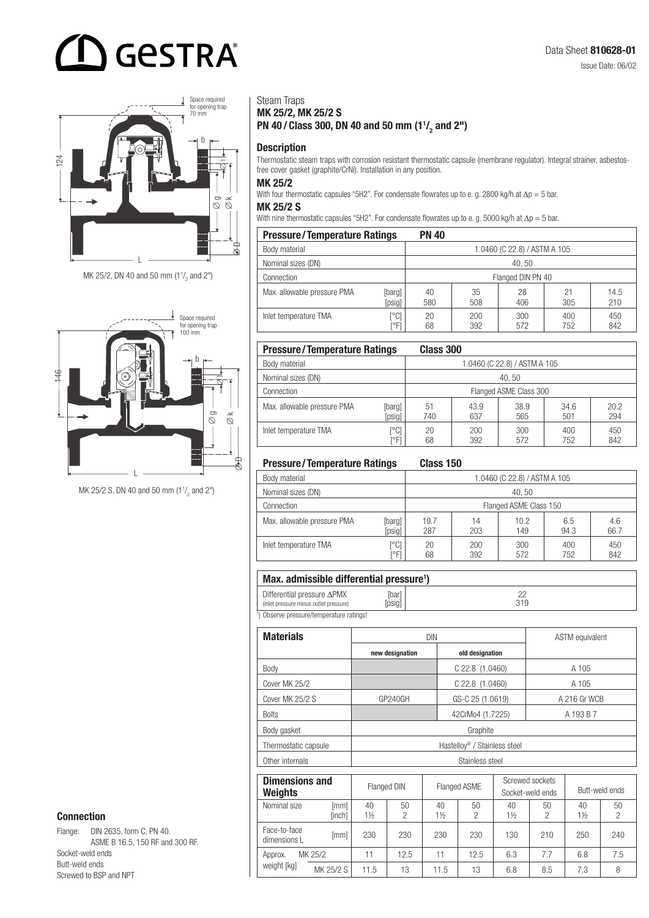## **GESTRA**



MK 25/2, DN 40 and 50 mm (1 $\frac{1}{2}$  and 2")



MK 25/2 S, DN 40 and 50 mm  $(1<sup>1</sup>/<sub>2</sub>$  and 2")

Steam Traps MK 25/2, MK 25/2 S PN 40/Class 300, DN 40 and 50 mm  $(1^1/2)$  and 2")

**Description** 

Thermostatic steam traps with corrosion resistant thermostatic capsule (membrane regulator). Integral strainer, asbestosfree cover gasket (graphite/CrNi). Installation in any position.

#### MK 25/2

With four thermostatic capsules "5H2". For condensate flowrates up to e. g. 2800 kg/h at ∆p = 5 bar.

#### MK 25/2 S

With nine thermostatic capsules "5H2". For condensate flowrates up to e. g. 5000 kg/h at ∆p = 5 bar.

| <b>Pressure/Temperature Ratings</b> | <b>PN 40</b>      |                              |            |            |            |             |  |  |
|-------------------------------------|-------------------|------------------------------|------------|------------|------------|-------------|--|--|
| Body material                       |                   | 1.0460 (C 22.8) / ASTM A 105 |            |            |            |             |  |  |
| Nominal sizes (DN)                  | 40.50             |                              |            |            |            |             |  |  |
| Connection                          | Flanged DIN PN 40 |                              |            |            |            |             |  |  |
| Max. allowable pressure PMA         | [barg]<br>[psig]  | 40<br>580                    | 35<br>508  | 28<br>406  | 21<br>305  | 14.5<br>210 |  |  |
| Inlet temperature TMA               | [°C]<br>™Fl       | 20<br>68                     | 200<br>392 | 300<br>572 | 400<br>752 | 450<br>842  |  |  |

| <b>Pressure/Temperature Ratings</b> |                        | Class 300                    |             |             |             |             |  |  |
|-------------------------------------|------------------------|------------------------------|-------------|-------------|-------------|-------------|--|--|
| Body material                       |                        | 1.0460 (C 22.8) / ASTM A 105 |             |             |             |             |  |  |
| Nominal sizes (DN)                  |                        | 40.50                        |             |             |             |             |  |  |
| Connection                          | Flanged ASME Class 300 |                              |             |             |             |             |  |  |
| Max. allowable pressure PMA         | [barg]<br>[psig]       | 51<br>740                    | 43.9<br>637 | 38.9<br>565 | 34.6<br>501 | 20.2<br>294 |  |  |
| Inlet temperature TMA               | [°C]<br>™F             | 20<br>68                     | 200<br>392  | 300<br>572  | 400<br>752  | 450<br>842  |  |  |

#### Pressure/Temperature Ratings Class 150

|                             | ------- <b>---</b>           |                        |            |             |             |             |  |  |
|-----------------------------|------------------------------|------------------------|------------|-------------|-------------|-------------|--|--|
| Body material               | 1.0460 (C 22.8) / ASTM A 105 |                        |            |             |             |             |  |  |
| Nominal sizes (DN)          | 40.50                        |                        |            |             |             |             |  |  |
| Connection                  |                              | Flanged ASME Class 150 |            |             |             |             |  |  |
| Max. allowable pressure PMA | [barg]<br>[psig]             | 19.7<br>287            | 14<br>203  | 10.2<br>149 | 6.5<br>94.3 | 4.6<br>66.7 |  |  |
| Inlet temperature TMA       | r°C1<br>ľ°Fl                 | 20<br>68               | 200<br>392 | 300<br>572  | 400<br>752  | 450<br>842  |  |  |

#### Max. admissible differential pressure<sup>1</sup>)

| .                                                                            |              |     |
|------------------------------------------------------------------------------|--------------|-----|
| Differential pressure $\Delta$ PMX<br>(inlet pressure minus outlet pressure) | barl<br>psig | 319 |
| <sup>1</sup> ) Observe pressure/temperature ratings!                         |              |     |

) Observe pressure/temperature ratings!

| <b>Materials</b>     | <b>DIN</b>                               | <b>ASTM</b> equivalent |              |  |  |  |
|----------------------|------------------------------------------|------------------------|--------------|--|--|--|
|                      | new designation<br>old designation       |                        |              |  |  |  |
| Body                 |                                          | $C$ 22.8 $(1.0460)$    | A 105        |  |  |  |
| Cover MK 25/2        |                                          | A 105                  |              |  |  |  |
| Cover MK 25/2 S      | GP240GH                                  | GS-C 25 (1.0619)       | A 216 Gr WCB |  |  |  |
| <b>Bolts</b>         |                                          | A 193 B 7              |              |  |  |  |
| Body gasket          | Graphite                                 |                        |              |  |  |  |
| Thermostatic capsule | Hastellov <sup>®</sup> / Stainless steel |                        |              |  |  |  |
| Other internals      | Stainless steel                          |                        |              |  |  |  |

| <b>Dimensions and</b><br><b>Weights</b> |                |                      | Flanged ASME<br><b>Flanged DIN</b> |                      |         | Screwed sockets<br>Socket-weld ends |         | Butt-weld ends |                     |
|-----------------------------------------|----------------|----------------------|------------------------------------|----------------------|---------|-------------------------------------|---------|----------------|---------------------|
| Nominal size                            | [mm]<br>[inch] | 40<br>$1\frac{1}{2}$ | 50<br>っ                            | 40<br>$1\frac{1}{2}$ | 50<br>2 | 40<br>$1\frac{1}{2}$                | 50<br>2 | 40<br>1½       | 50<br>$\mathcal{P}$ |
| Face-to-face<br>dimensions L            | [mm]           | 230                  | 230                                | 230                  | 230     | 130                                 | 210     | 250            | 240                 |
| Approx.<br>weight [kg]                  | MK 25/2        | 11                   | 12.5                               | 11                   | 12.5    | 6.3                                 | 7.7     | 6.8            | 7.5                 |
|                                         | MK 25/2 S      | 11.5                 | 13                                 | 11.5                 | 13      | 6.8                                 | 8.5     | 7.3            | 8                   |

#### Connection

Flange: DIN 2635, form C, PN 40. ASME B 16.5, 150 RF and 300 RF. Socket-weld ends Butt-weld ends Screwed to BSP and NPT